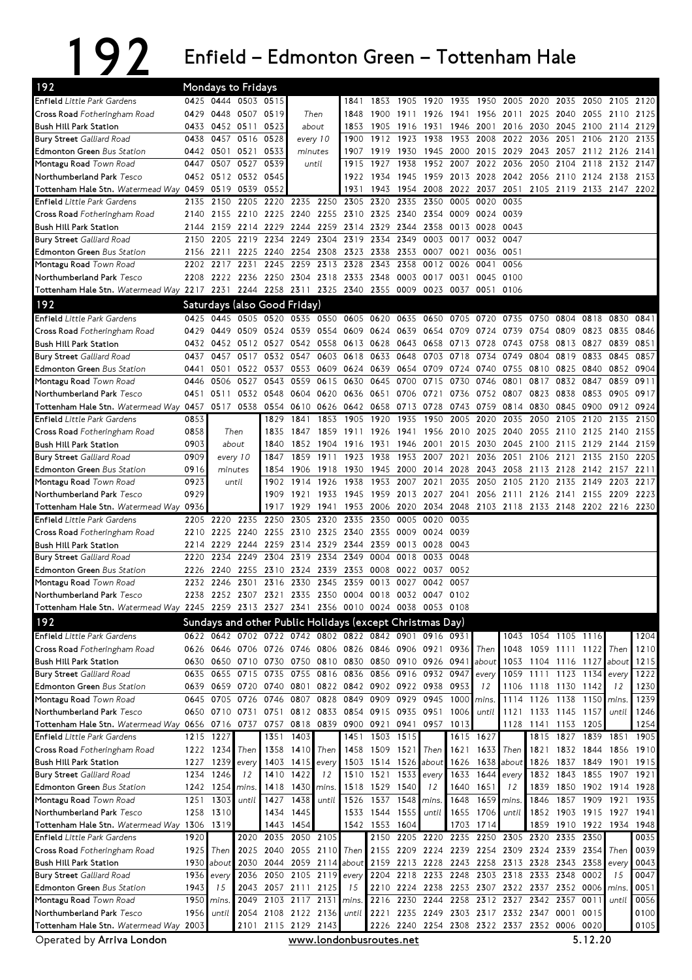## 192 Enfield – Edmonton Green – Tottenham Hale

| 192                                                                                         |              |                        | Mondays to Fridays               |                                  |      |                             |                |                                                          |                   |                   |                     |                             |                          |              |                                                   |                     |                      |              |
|---------------------------------------------------------------------------------------------|--------------|------------------------|----------------------------------|----------------------------------|------|-----------------------------|----------------|----------------------------------------------------------|-------------------|-------------------|---------------------|-----------------------------|--------------------------|--------------|---------------------------------------------------|---------------------|----------------------|--------------|
| <b>Enfield</b> Little Park Gardens                                                          |              |                        | 0425 0444 0503 0515              |                                  |      |                             | 1841           | 1853                                                     | 1905 1920         |                   | 1935                | 1950 2005                   |                          |              | 2020 2035 2050                                    |                     | 2105                 | 2120         |
| Cross Road Fotheringham Road                                                                |              |                        | 0429 0448 0507 0519              |                                  |      | Then                        | 1848           |                                                          | 1900 1911 1926    |                   |                     |                             | 1941 1956 2011           |              | 2025 2040 2055                                    |                     | 2110                 | 2125         |
| <b>Bush Hill Park Station</b>                                                               | 0433         | 0452 0511              |                                  | 0523                             |      | about                       | 1853           |                                                          | 1905 1916         | 1931              |                     | 1946 2001 2016              |                          | 2030         | 2045 2100                                         |                     | 2114                 | 2129         |
| <b>Bury Street Galliard Road</b>                                                            | 0438         | 0457                   | 0516                             | 0528                             |      | every 10                    | 1900           |                                                          | 1912 1923         | 1938              | 1953                | 2008                        | 2022                     | 2036         | 2051                                              | 2106                | 2120                 | 2135         |
| <b>Edmonton Green Bus Station</b>                                                           |              | 0442 0501 0521         |                                  | 0533                             |      | minutes                     | 1907           |                                                          | 1919 1930         | 1945              | 2000                |                             | 2015 2029                | 2043         | 2057 2112 2126                                    |                     |                      | 2141         |
| Montagu Road Town Road                                                                      | 0447         |                        | 0507 0527 0539                   |                                  |      | until                       | 1915           | 1927                                                     | 1938              |                   | 1952 2007           |                             | 2022 2036                | 2050         | 2104 2118                                         |                     | 2132                 | 2147         |
| Northumberland Park Tesco                                                                   |              | 0519 0539              | 0452 0512 0532 0545              | 0552                             |      |                             | 1922<br>1931   | 1934 1945<br>1943                                        | 1954              | 1959              | 2013                | 2028                        | 2042<br>2051             | 2056         | 2110 2124                                         |                     | 2138                 | 2153         |
| Tottenham Hale Stn. Watermead Way 0459<br><b>Enfield</b> Little Park Gardens                | 2135         | 2150                   | 2205                             | 2220 2235 2250                   |      |                             |                | 2305 2320 2335                                           |                   | 2008<br>2350      | 2022<br>0005        | 2037<br>0020                | 0035                     |              | 2105 2119 2133 2147                               |                     |                      | 2202         |
| Cross Road Fotheringham Road                                                                | 2140         |                        | 2155 2210                        | 2225                             |      | 2240 2255                   | 2310           | 2325 2340                                                |                   | 2354              | 0009                | 0024                        | 0039                     |              |                                                   |                     |                      |              |
| <b>Bush Hill Park Station</b>                                                               | 2144         |                        | 2159 2214 2229                   |                                  |      | 2244 2259                   |                | 2314 2329 2344                                           |                   | 2358              |                     | 0013 0028 0043              |                          |              |                                                   |                     |                      |              |
| <b>Bury Street Galliard Road</b>                                                            | 2150         |                        | 2205 2219                        | 2234                             |      | 2249 2304                   | 2319           | 2334                                                     | 2349              | 0003              | 0017                |                             | 0032 0047                |              |                                                   |                     |                      |              |
| <b>Edmonton Green Bus Station</b>                                                           | 2156         | 2211                   | 2225                             | 2240                             |      | 2254 2308                   | 2323           | 2338                                                     | 2353              | 0007              | 0021                | 0036 0051                   |                          |              |                                                   |                     |                      |              |
| Montagu Road Town Road                                                                      | 2202         | 2217                   | 2231                             | 2245                             | 2259 | 2313                        | 2328           | 2343                                                     | 2358              | 0012              | 0026                | 0041                        | 0056                     |              |                                                   |                     |                      |              |
| Northumberland Park Tesco                                                                   | 2208         | 2222 2236              |                                  | 2250                             |      | 2304 2318                   | 2333 2348      |                                                          | 0003              | 0017              | 0031                |                             | 0045 0100                |              |                                                   |                     |                      |              |
| Tottenham Hale Stn. Watermead Way 2217 2231 2244 2258 2311 2325 2340 2355 0009              |              |                        |                                  |                                  |      |                             |                |                                                          |                   |                   | 0023 0037           | 0051                        | 0106                     |              |                                                   |                     |                      |              |
| 192                                                                                         |              |                        | Saturdays (also Good Friday)     |                                  |      |                             |                |                                                          |                   |                   |                     |                             |                          |              |                                                   |                     |                      |              |
| <b>Enfield</b> Little Park Gardens                                                          | 0425         |                        | 0445 0505 0520                   |                                  |      |                             |                | 0535 0550 0605 0620 0635 0650 0705 0720                  |                   |                   |                     |                             | 0735                     | 0750         | 0804 0818                                         |                     | 0830                 | 0841         |
| Cross Road Fotheringham Road                                                                | 0429         | 0449 0509              |                                  | 0524                             |      | 0539 0554                   | 0609           | 0624 0639                                                |                   | 0654              | 0709                | 0724                        | 0739                     | 0754         | 0809                                              | 0823                | 0835                 | 0846         |
| <b>Bush Hill Park Station</b>                                                               | 0432         |                        | 0452 0512 0527                   |                                  |      | 0542 0558                   | 0613 0628      |                                                          | 0643              | 0658              | 0713                | 0728                        | 0743                     | 0758         | 0813 0827                                         |                     | 0839                 | 0851         |
| <b>Bury Street</b> Galliard Road                                                            | 0437         | 0457                   | 0517                             | 0532                             | 0547 | 0603                        | 0618           | 0633                                                     | 0648              | 0703              | 0718                | 0734                        | 0749                     | 0804         | 0819                                              | 0833                | 0845                 | 0857         |
| <b>Edmonton Green Bus Station</b>                                                           | 0441         | 0501                   | 0522                             | 0537                             |      | 0553 0609                   |                | 0624 0639 0654                                           |                   | 0709              | 0724                | 0740 0755                   |                          | 0810         | 0825 0840                                         |                     | 0852                 | 0904         |
| Montagu Road Town Road                                                                      | 0446         | 0506                   | 0527                             | 0543<br>0532 0548                | 0559 | 0615                        | 0630           | 0645 0700                                                |                   | 0715              | 0730                | 0746                        | 0801                     | 0817         | 0832 0847<br>0838 0853                            |                     | 0859                 | 0911         |
| Northumberland Park Tesco<br>Tottenham Hale Stn. Watermead Way 0457 0517 0538               |              | 0451 0511              |                                  | 0554 0610 0626                   |      | 0604 0620                   | 0636<br>0642   | 0651 0706<br>0658                                        | 0713              | 0721 0736<br>0728 |                     | 0752 0807<br>0743 0759 0814 |                          | 0823<br>0830 | 0845 0900                                         |                     | 0905<br>0912         | 0917<br>0924 |
| <b>Enfield</b> Little Park Gardens                                                          | 0853         |                        |                                  | 1829                             | 1841 | 1853                        | 1905           | 1920                                                     | 1935              | 1950              | 2005                | 2020                        | 2035                     | 2050         | 2105 2120                                         |                     | 2135                 | 2150         |
| Cross Road Fotheringham Road                                                                | 0858         |                        | Then                             | 1835                             |      |                             |                | 1847 1859 1911 1926 1941 1956 2010 2025 2040             |                   |                   |                     |                             |                          |              | 2055 2110 2125 2140                               |                     |                      | 2155         |
| <b>Bush Hill Park Station</b>                                                               | 0903         |                        | about                            | 1840                             |      | 1852 1904                   | 1916           | 1931 1946                                                |                   |                   | 2001 2015 2030 2045 |                             |                          |              | 2100 2115 2129                                    |                     | 2144                 | 2159         |
| <b>Bury Street</b> Galliard Road                                                            | 0909         | every 10               |                                  | 1847                             | 1859 | 1911                        | 1923           | 1938                                                     | 1953              | 2007              | 2021                | 2036                        | 2051                     | 2106         | 2121 2135                                         |                     | 2150                 | 2205         |
| <b>Edmonton Green Bus Station</b>                                                           | 0916         | minutes                |                                  | 1854                             |      | 1906 1918                   | 1930           |                                                          | 1945 2000         | 2014              | 2028                | 2043                        | 2058                     | 2113         | 2128 2142                                         |                     | 2157                 | 2211         |
| Montagu Road Town Road                                                                      | 0923         |                        | until                            | 1902                             | 1914 | 1926                        | 1938           | 1953                                                     | 2007              | 2021              | 2035                | 2050                        | 2105                     | 2120         | 2135 2149                                         |                     | 2203                 | 2217         |
| Northumberland Park Tesco                                                                   | 0929         |                        |                                  | 1909                             |      | 1921 1933 1945              |                |                                                          |                   |                   |                     |                             |                          |              | 1959 2013 2027 2041 2056 2111 2126 2141 2155 2209 |                     |                      | 2223         |
| Tottenham Hale Stn. Watermead Way 0936                                                      |              |                        |                                  | 1917                             | 1929 | 1941                        | 1953           | 2006                                                     | 2020              | 2034              |                     |                             |                          |              | 2048 2103 2118 2133 2148 2202 2216 2230           |                     |                      |              |
| <b>Enfield</b> Little Park Gardens                                                          | 2205         | 2220                   | 2235                             | 2250                             | 2305 | 2320                        | 2335           | 2350                                                     | 0005              | 0020              | 0035                |                             |                          |              |                                                   |                     |                      |              |
| Cross Road Fotheringham Road                                                                | 2210         |                        | 2225 2240                        | 2255                             |      | 2310 2325                   | 2340           |                                                          | 2355 0009 0024    |                   | 0039                |                             |                          |              |                                                   |                     |                      |              |
| <b>Bush Hill Park Station</b><br><b>Bury Street</b> Galliard Road                           | 2220         |                        | 2214 2229 2244 2259<br>2234 2249 | 2304                             |      | 2314 2329<br>2319 2334 2349 | 2344 2359      | 0004                                                     | 0013 0028<br>0018 | 0033              | 0043<br>0048        |                             |                          |              |                                                   |                     |                      |              |
| <b>Edmonton Green Bus Station</b>                                                           | 2226         |                        | 2240 2255 2310 2324 2339         |                                  |      |                             | 2353           | 0008                                                     | 0022              | 0037              | 0052                |                             |                          |              |                                                   |                     |                      |              |
| Montagu Road Town Road                                                                      |              | 2232 2246              | 2301                             | 2316                             | 2330 | 2345                        | 2359           | 0013 0027                                                |                   | 0042              | 0057                |                             |                          |              |                                                   |                     |                      |              |
| Northumberland Park Tesco                                                                   |              |                        |                                  |                                  |      |                             |                | 2238 2252 2307 2321 2335 2350 0004 0018 0032 0047 0102   |                   |                   |                     |                             |                          |              |                                                   |                     |                      |              |
| Tottenham Hale Stn. Watermead Way 2245 2259 2313 2327 2341 2356 0010 0024 0038 0053 0108    |              |                        |                                  |                                  |      |                             |                |                                                          |                   |                   |                     |                             |                          |              |                                                   |                     |                      |              |
| 192                                                                                         |              |                        |                                  |                                  |      |                             |                | Sundays and other Public Holidays (except Christmas Day) |                   |                   |                     |                             |                          |              |                                                   |                     |                      |              |
| <b>Enfield</b> Little Park Gardens                                                          | 0622         |                        |                                  |                                  |      |                             |                | 0642 0702 0722 0742 0802 0822 0842 0901                  |                   |                   | 0916 0931           |                             | 1043                     |              | 1054 1105 1116                                    |                     |                      | 1204         |
| Cross Road Fotheringham Road                                                                |              |                        |                                  |                                  |      |                             |                | 0626 0646 0706 0726 0746 0806 0826 0846 0906 0921 0936   |                   |                   |                     | Then                        | 1048                     |              | 1059 1111 1122                                    |                     | Then                 | 1210         |
| <b>Bush Hill Park Station</b>                                                               | 0630         |                        |                                  |                                  |      |                             |                | 0650 0710 0730 0750 0810 0830 0850 0910 0926 0941        |                   |                   |                     | about                       | 1053                     |              | 1104 1116 1127                                    |                     | about                | 1215         |
| <b>Bury Street</b> Galliard Road                                                            |              |                        | 0635 0655 0715 0735              |                                  |      |                             |                | 0755 0816 0836 0856 0916 0932 0947                       |                   |                   |                     | every                       | 1059                     | 1111         | 1123 1134                                         |                     | every                | 1222         |
| <b>Edmonton Green Bus Station</b>                                                           | 0639         | 0659 0720              |                                  | 0740                             |      |                             |                | 0801 0822 0842 0902 0922 0938 0953                       |                   |                   |                     | 12                          | 1106                     | 1118         | 1130 1142                                         |                     | 12                   | 1230         |
| Montagu Road Town Road                                                                      | 0645         | 0705 0726              |                                  | 0746                             | 0807 | 0828                        | 0849           | 0909 0929                                                |                   | 0945              | 1000                | mins.                       | 1114                     | 1126         | 1138 1150                                         |                     | mins.                | 1239         |
| Northumberland Park Tesco                                                                   |              |                        | 0650 0710 0731 0751              |                                  |      |                             |                | 0812 0833 0854 0915 0935 0951                            |                   |                   | 1006                | until                       | 1121                     |              | 1133 1145 1157                                    |                     | until                | 1246         |
| Tottenham Hale Stn. Watermead Way 0656 0716 0737 0757<br><b>Enfield</b> Little Park Gardens |              |                        |                                  |                                  | 1403 |                             |                | 0818 0839 0900 0921 0941 0957 1013<br>1451 1503 1515     |                   |                   |                     |                             |                          |              | 1128 1141 1153 1205<br>1827 1839 1851             |                     |                      | 1254<br>1905 |
| Cross Road Fotheringham Road                                                                |              | 1215 1227<br>1222 1234 | Then                             | 1351<br>1358                     | 1410 | Then                        | 1458           | 1509 1521                                                |                   | Then              | 1621                | 1615 1627<br>1633           | Then                     | 1815<br>1821 | 1832 1844                                         |                     | 1856                 | 1910         |
| Bush Hill Park Station                                                                      | 1227         | 1239                   | every                            | 1403                             | 1415 | every                       | 1503           |                                                          |                   | 1514 1526 about   | 1626                | 1638                        | about                    | 1826         | 1837                                              | 1849                | 1901                 | 1915         |
| <b>Bury Street</b> Galliard Road                                                            | 1234         | 1246                   | 12                               | 1410                             | 1422 | 12                          | 1510           |                                                          | 1521 1533         | every             | 1633                | 1644                        | every                    | 1832         | 1843 1855                                         |                     | 1907 1921            |              |
| <b>Edmonton Green Bus Station</b>                                                           |              | 1242 1254              | mins.                            | 1418                             | 1430 | mins.                       | 1518           | 1529 1540                                                |                   | 12                | 1640                | 1651                        | 12                       | 1839         |                                                   | 1850 1902 1914 1928 |                      |              |
| Montagu Road Town Road                                                                      | 1251         | 1303                   | until                            | 1427                             | 1438 | until                       | 1526           |                                                          | 1537 1548         | mins.             | 1648                | 1659                        | mins.                    | 1846         | 1857 1909                                         |                     | 1921                 | 1935         |
| Northumberland Park Tesco                                                                   |              | 1258 1310              |                                  | 1434                             | 1445 |                             |                | 1533 1544 1555                                           |                   | until             |                     | 1655 1706                   | until                    |              | 1852 1903 1915                                    |                     | 1927                 | 1941         |
| Tottenham Hale Stn. Watermead Way 1306 1319                                                 |              |                        |                                  | 1443                             | 1454 |                             |                | 1542 1553 1604                                           |                   |                   | 1703                | 1714                        |                          | 1859         | 1910 1922 1934                                    |                     |                      | 1948         |
| <b>Enfield</b> Little Park Gardens                                                          | 1920         |                        |                                  | 2020 2035 2050 2105              |      |                             |                |                                                          |                   |                   |                     |                             |                          |              | 2150 2205 2220 2235 2250 2305 2320 2335 2350      |                     |                      | 0035         |
| Cross Road Fotheringham Road                                                                | 1925         | Then                   | 2025                             | 2040                             |      |                             | 2055 2110 Then |                                                          |                   |                   |                     |                             |                          |              | 2155 2209 2224 2239 2254 2309 2324 2339 2354      |                     | Then                 | 0039         |
| Bush Hill Park Station                                                                      | 1930         | about                  | 2030                             | 2044 2059 2114                   |      |                             | about          |                                                          |                   |                   |                     |                             |                          |              | 2159 2213 2228 2243 2258 2313 2328 2343 2358      |                     | every                | 0043         |
| <b>Bury Street</b> Galliard Road                                                            | 1936         | every                  | 2036                             |                                  |      | 2050 2105 2119              | every          |                                                          | 2204 2218         |                   | 2233 2248           |                             | 2303 2318                | 2333         | 2348 0002                                         |                     | 15                   | 0047         |
| <b>Edmonton Green Bus Station</b><br>Montagu Road Town Road                                 | 1943<br>1950 | 15                     | 2043<br>2049                     | 2057 2111 2125<br>2103 2117 2131 |      |                             | 15             | 2216 2230                                                | 2210 2224         | 2238<br>2244      | 2258                | 2253 2307 2322<br>2312      | 2327                     | 2337         | 2342 2357                                         | 2352 0006<br>0011   | <i>mins</i><br>until | 0051<br>0056 |
| Northumberland Park Tesco                                                                   | 1956         | mins.<br>until         | 2054                             | 2108 2122 2136                   |      |                             | mins.<br>until | 2221                                                     | 2235              |                   |                     |                             | 2249 2303 2317 2332 2347 |              | 0001 0015                                         |                     |                      | 0100         |
| Tottenham Hale Stn. Watermead Way                                                           | 2003         |                        |                                  | 2101 2115 2129 2143              |      |                             |                |                                                          |                   |                   |                     |                             |                          |              | 2226 2240 2254 2308 2322 2337 2352 0006 0020      |                     |                      | 0105         |
| Operated by Arriva London                                                                   |              |                        |                                  |                                  |      |                             |                | www.londonbusroutes.net                                  |                   |                   |                     |                             |                          |              |                                                   | 5.12.20             |                      |              |
|                                                                                             |              |                        |                                  |                                  |      |                             |                |                                                          |                   |                   |                     |                             |                          |              |                                                   |                     |                      |              |